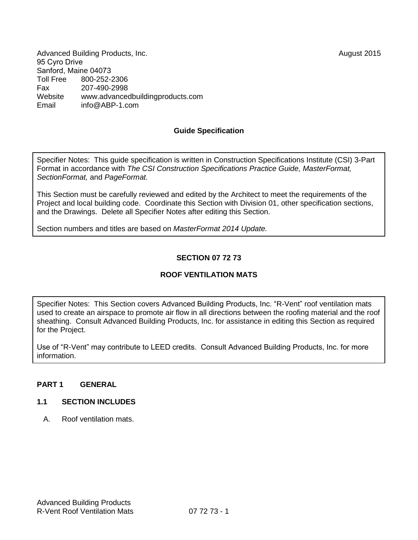Advanced Building Products, Inc. **August 2015** 95 Cyro Drive Sanford, Maine 04073<br>Toll Free 800-252-2 Toll Free 800-252-2306 Fax 207-490-2998 Website [www.advancedbuildingproducts.com](http://www.advancedbuildingproducts.com/) Email inf[o@ABP-1.com](mailto:bbb@aaaa.com)

### **Guide Specification**

Specifier Notes: This guide specification is written in Construction Specifications Institute (CSI) 3-Part Format in accordance with *The CSI Construction Specifications Practice Guide, MasterFormat, SectionFormat,* and *PageFormat.* 

This Section must be carefully reviewed and edited by the Architect to meet the requirements of the Project and local building code. Coordinate this Section with Division 01, other specification sections, and the Drawings. Delete all Specifier Notes after editing this Section.

Section numbers and titles are based on *MasterFormat 2014 Update.*

# **SECTION 07 72 73**

## **ROOF VENTILATION MATS**

Specifier Notes: This Section covers Advanced Building Products, Inc. "R-Vent" roof ventilation mats used to create an airspace to promote air flow in all directions between the roofing material and the roof sheathing. Consult Advanced Building Products, Inc. for assistance in editing this Section as required for the Project.

Use of "R-Vent" may contribute to LEED credits. Consult Advanced Building Products, Inc. for more information.

#### **PART 1 GENERAL**

#### **1.1 SECTION INCLUDES**

A. Roof ventilation mats.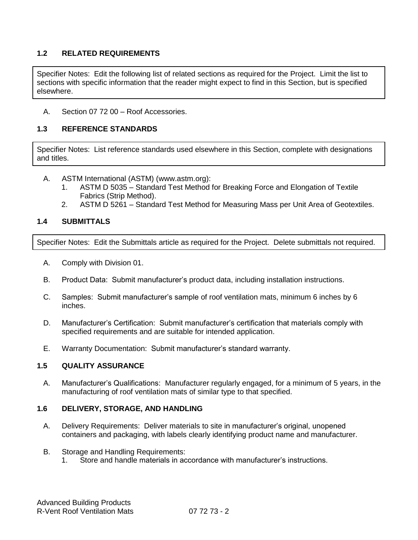# **1.2 RELATED REQUIREMENTS**

Specifier Notes: Edit the following list of related sections as required for the Project. Limit the list to sections with specific information that the reader might expect to find in this Section, but is specified elsewhere.

A. Section 07 72 00 – Roof Accessories.

## **1.3 REFERENCE STANDARDS**

Specifier Notes: List reference standards used elsewhere in this Section, complete with designations and titles.

- A. ASTM International (ASTM) [\(www.astm.org\)](http://www.astm.org/):
	- 1. ASTM D 5035 Standard Test Method for Breaking Force and Elongation of Textile Fabrics (Strip Method).
	- 2. ASTM D 5261 Standard Test Method for Measuring Mass per Unit Area of Geotextiles.

# **1.4 SUBMITTALS**

Specifier Notes: Edit the Submittals article as required for the Project. Delete submittals not required.

- A. Comply with Division 01.
- B. Product Data: Submit manufacturer's product data, including installation instructions.
- C. Samples: Submit manufacturer's sample of roof ventilation mats, minimum 6 inches by 6 inches.
- D. Manufacturer's Certification: Submit manufacturer's certification that materials comply with specified requirements and are suitable for intended application.
- E. Warranty Documentation: Submit manufacturer's standard warranty.

## **1.5 QUALITY ASSURANCE**

A. Manufacturer's Qualifications: Manufacturer regularly engaged, for a minimum of 5 years, in the manufacturing of roof ventilation mats of similar type to that specified.

#### **1.6 DELIVERY, STORAGE, AND HANDLING**

- A. Delivery Requirements: Deliver materials to site in manufacturer's original, unopened containers and packaging, with labels clearly identifying product name and manufacturer.
- B. Storage and Handling Requirements:
	- 1. Store and handle materials in accordance with manufacturer's instructions.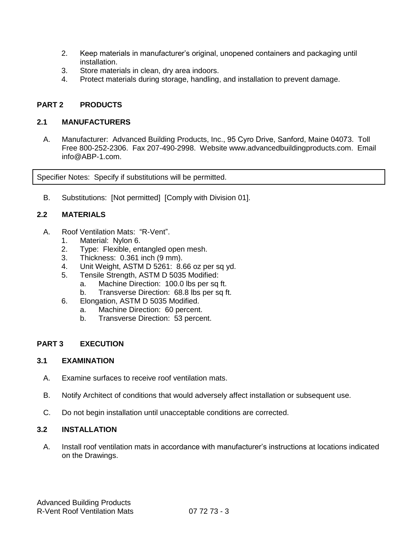- 2. Keep materials in manufacturer's original, unopened containers and packaging until installation.
- 3. Store materials in clean, dry area indoors.
- 4. Protect materials during storage, handling, and installation to prevent damage.

# **PART 2 PRODUCTS**

### **2.1 MANUFACTURERS**

A. Manufacturer: Advanced Building Products, Inc., 95 Cyro Drive, Sanford, Maine 04073. Toll Free 800-252-2306. Fax 207-490-2998. Website [www.advancedbuildingproducts.com.](http://www.advancedbuildingproducts.com/) Email info@ABP-1.com.

Specifier Notes: Specify if substitutions will be permitted.

B. Substitutions: [Not permitted] [Comply with Division 01].

## **2.2 MATERIALS**

- A. Roof Ventilation Mats: "R-Vent".
	- 1. Material: Nylon 6.
	- 2. Type: Flexible, entangled open mesh.
	- 3. Thickness: 0.361 inch (9 mm).
	- 4. Unit Weight, ASTM D 5261: 8.66 oz per sq yd.
	- 5. Tensile Strength, ASTM D 5035 Modified:
		- a. Machine Direction: 100.0 lbs per sq ft.
		- b. Transverse Direction: 68.8 lbs per sq ft.
	- 6. Elongation, ASTM D 5035 Modified.
		- a. Machine Direction: 60 percent.
		- b. Transverse Direction: 53 percent.

## **PART 3 EXECUTION**

### **3.1 EXAMINATION**

- A. Examine surfaces to receive roof ventilation mats.
- B. Notify Architect of conditions that would adversely affect installation or subsequent use.
- C. Do not begin installation until unacceptable conditions are corrected.

## **3.2 INSTALLATION**

A. Install roof ventilation mats in accordance with manufacturer's instructions at locations indicated on the Drawings.